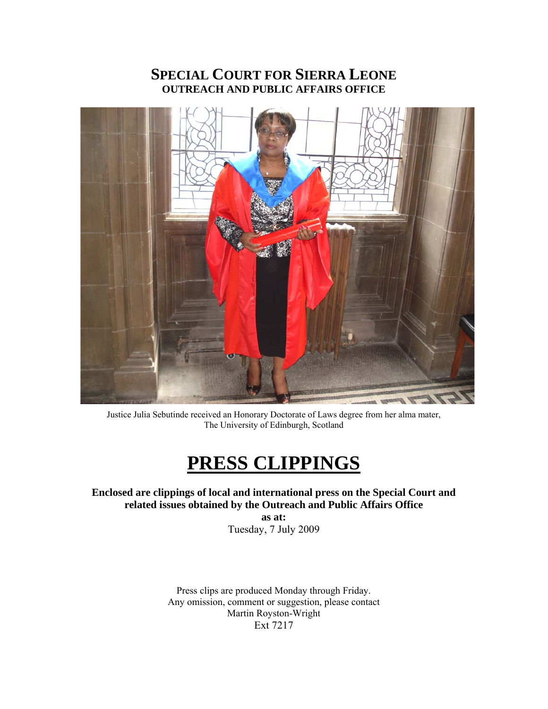# **SPECIAL COURT FOR SIERRA LEONE OUTREACH AND PUBLIC AFFAIRS OFFICE**



Justice Julia Sebutinde received an Honorary Doctorate of Laws degree from her alma mater, The University of Edinburgh, Scotland

# **PRESS CLIPPINGS**

## **Enclosed are clippings of local and international press on the Special Court and related issues obtained by the Outreach and Public Affairs Office**

**as at:**  Tuesday, 7 July 2009

Press clips are produced Monday through Friday. Any omission, comment or suggestion, please contact Martin Royston-Wright Ext 7217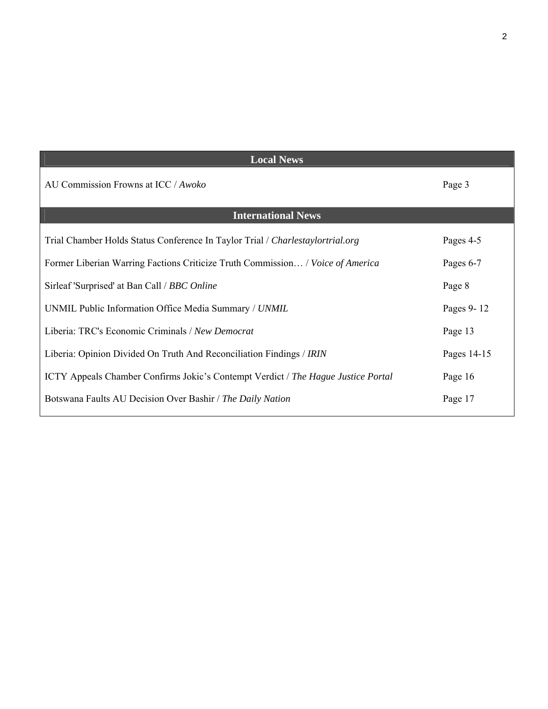| <b>Local News</b>                                                                 |             |
|-----------------------------------------------------------------------------------|-------------|
| AU Commission Frowns at ICC / Awoko                                               | Page 3      |
| <b>International News</b>                                                         |             |
| Trial Chamber Holds Status Conference In Taylor Trial / Charlestaylortrial.org    | Pages 4-5   |
| Former Liberian Warring Factions Criticize Truth Commission / Voice of America    | Pages 6-7   |
| Sirleaf 'Surprised' at Ban Call / <i>BBC Online</i>                               | Page 8      |
| UNMIL Public Information Office Media Summary / UNMIL                             | Pages 9-12  |
| Liberia: TRC's Economic Criminals / New Democrat                                  | Page 13     |
| Liberia: Opinion Divided On Truth And Reconciliation Findings / IRIN              | Pages 14-15 |
| ICTY Appeals Chamber Confirms Jokic's Contempt Verdict / The Hague Justice Portal | Page 16     |
| Botswana Faults AU Decision Over Bashir / The Daily Nation                        | Page 17     |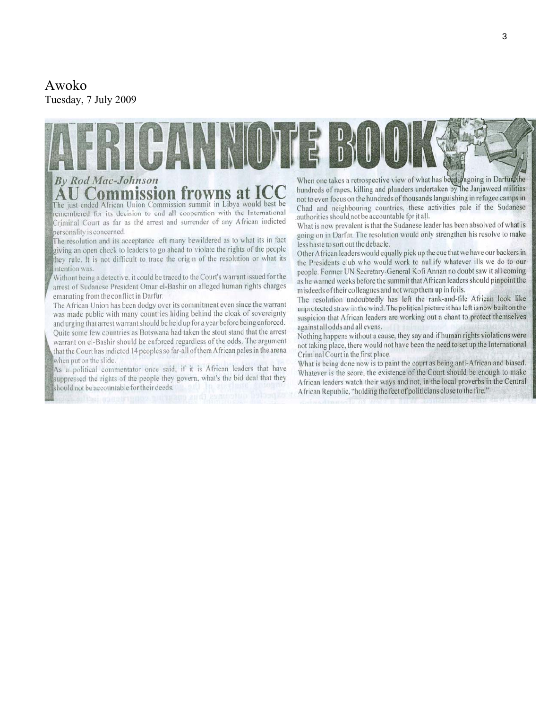# Awoko

Tuesday, 7 July 2009

# **By Rod Mac-Johnson** on frowns at The just ended African Union Commission summit in Libya would best be

remembered for its decision to end all cooperation with the International Criminal Court as far as the arrest and surrender of any African indicted personality is concerned.

The resolution and its acceptance left many bewildered as to what its in fact giving an open check to leaders to go ahead to violate the rights of the people they rule. It is not difficult to trace the origin of the resolution or what its intention was.

Without being a detective, it could be traced to the Court's warrant issued for the arrest of Sudanese President Omar el-Bashir on alleged human rights charges emanating from the conflict in Darfur.

The African Union has been dodgy over its commitment even since the warrant was made public with many countries hiding behind the cloak of sovereignty and urging that arrest warrant should be held up for a year before being enforced. Quite some few countries as Botswana had taken the stout stand that the arrest warrant on el-Bashir should be enforced regardless of the odds. The argument that the Court has indicted 14 peoples so far-all of them African pales in the arena when put on the slide.

As a political commentator once said, if it is African leaders that have suppressed the rights of the people they govern, what's the bid deal that they should not be accountable for their deeds.

When one takes a retrospective view of what has been engoing in Darfur, the hundreds of rapes, killing and plunders undertaken by the Janjaweed militias not to even focus on the hundreds of thousands languishing in refugee camps in Chad and neighbouring countries, these activities pale if the Sudanese authorities should not be accountable for it all.

What is now prevalent is that the Sudanese leader has been absolved of what is going on in Darfur. The resolution would only strengthen his resolve to make less haste to sort out the debacle.

Other African leaders would equally pick up the cue that we have our backers in the Presidents club who would work to nullify whatever ills we do to our people. Former UN Secretary-General Kofi Annan no doubt saw it all coming as he warned weeks before the summit that African leaders should pinpoint the misdeeds of their colleagues and not wrap them up in foils.

The resolution undoubtedly has left the rank-and-file African look like unprotected straw in the wind. The political picture it has left is now built on the suspicion that African leaders are working out a chant to protect themselves against all odds and all evens.

Nothing happens without a cause, they say and if human rights violations were not taking place, there would not have been the need to set up the International Criminal Court in the first place.

What is being done now is to paint the court as being anti-African and biased. Whatever is the score, the existence of the Court should be enough to make African leaders watch their ways and not, in the local proverbs in the Central African Republic, "holding the feet of politicians close to the fire."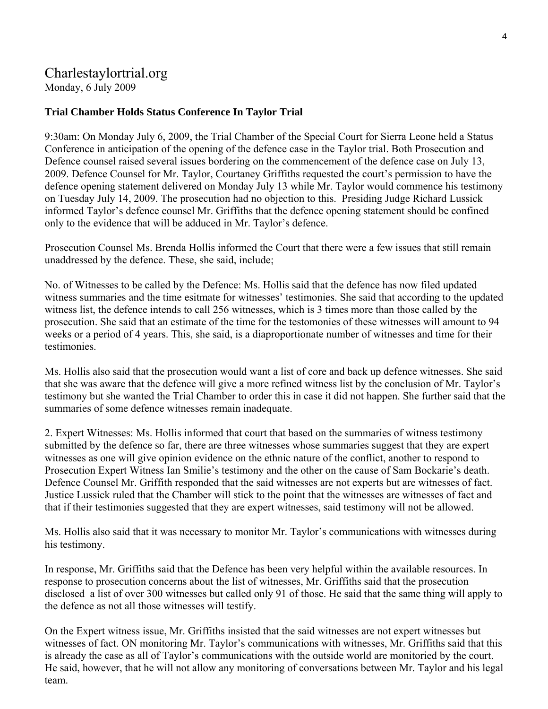# Charlestaylortrial.org

Monday, 6 July 2009

### **Trial Chamber Holds Status Conference In Taylor Trial**

9:30am: On Monday July 6, 2009, the Trial Chamber of the Special Court for Sierra Leone held a Status Conference in anticipation of the opening of the defence case in the Taylor trial. Both Prosecution and Defence counsel raised several issues bordering on the commencement of the defence case on July 13, 2009. Defence Counsel for Mr. Taylor, Courtaney Griffiths requested the court's permission to have the defence opening statement delivered on Monday July 13 while Mr. Taylor would commence his testimony on Tuesday July 14, 2009. The prosecution had no objection to this. Presiding Judge Richard Lussick informed Taylor's defence counsel Mr. Griffiths that the defence opening statement should be confined only to the evidence that will be adduced in Mr. Taylor's defence.

Prosecution Counsel Ms. Brenda Hollis informed the Court that there were a few issues that still remain unaddressed by the defence. These, she said, include;

No. of Witnesses to be called by the Defence: Ms. Hollis said that the defence has now filed updated witness summaries and the time esitmate for witnesses' testimonies. She said that according to the updated witness list, the defence intends to call 256 witnesses, which is 3 times more than those called by the prosecution. She said that an estimate of the time for the testomonies of these witnesses will amount to 94 weeks or a period of 4 years. This, she said, is a diaproportionate number of witnesses and time for their testimonies.

Ms. Hollis also said that the prosecution would want a list of core and back up defence witnesses. She said that she was aware that the defence will give a more refined witness list by the conclusion of Mr. Taylor's testimony but she wanted the Trial Chamber to order this in case it did not happen. She further said that the summaries of some defence witnesses remain inadequate.

2. Expert Witnesses: Ms. Hollis informed that court that based on the summaries of witness testimony submitted by the defence so far, there are three witnesses whose summaries suggest that they are expert witnesses as one will give opinion evidence on the ethnic nature of the conflict, another to respond to Prosecution Expert Witness Ian Smilie's testimony and the other on the cause of Sam Bockarie's death. Defence Counsel Mr. Griffith responded that the said witnesses are not experts but are witnesses of fact. Justice Lussick ruled that the Chamber will stick to the point that the witnesses are witnesses of fact and that if their testimonies suggested that they are expert witnesses, said testimony will not be allowed.

Ms. Hollis also said that it was necessary to monitor Mr. Taylor's communications with witnesses during his testimony.

In response, Mr. Griffiths said that the Defence has been very helpful within the available resources. In response to prosecution concerns about the list of witnesses, Mr. Griffiths said that the prosecution disclosed a list of over 300 witnesses but called only 91 of those. He said that the same thing will apply to the defence as not all those witnesses will testify.

On the Expert witness issue, Mr. Griffiths insisted that the said witnesses are not expert witnesses but witnesses of fact. ON monitoring Mr. Taylor's communications with witnesses, Mr. Griffiths said that this is already the case as all of Taylor's communications with the outside world are monitoried by the court. He said, however, that he will not allow any monitoring of conversations between Mr. Taylor and his legal team.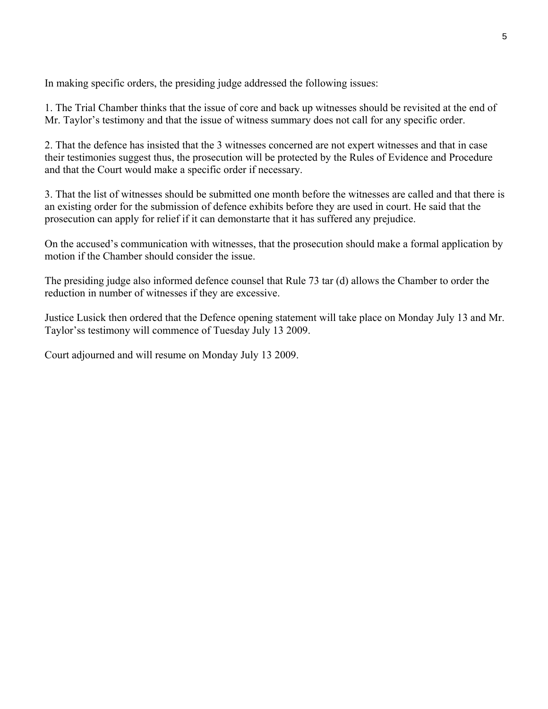In making specific orders, the presiding judge addressed the following issues:

1. The Trial Chamber thinks that the issue of core and back up witnesses should be revisited at the end of Mr. Taylor's testimony and that the issue of witness summary does not call for any specific order.

2. That the defence has insisted that the 3 witnesses concerned are not expert witnesses and that in case their testimonies suggest thus, the prosecution will be protected by the Rules of Evidence and Procedure and that the Court would make a specific order if necessary.

3. That the list of witnesses should be submitted one month before the witnesses are called and that there is an existing order for the submission of defence exhibits before they are used in court. He said that the prosecution can apply for relief if it can demonstarte that it has suffered any prejudice.

On the accused's communication with witnesses, that the prosecution should make a formal application by motion if the Chamber should consider the issue.

The presiding judge also informed defence counsel that Rule 73 tar (d) allows the Chamber to order the reduction in number of witnesses if they are excessive.

Justice Lusick then ordered that the Defence opening statement will take place on Monday July 13 and Mr. Taylor'ss testimony will commence of Tuesday July 13 2009.

Court adjourned and will resume on Monday July 13 2009.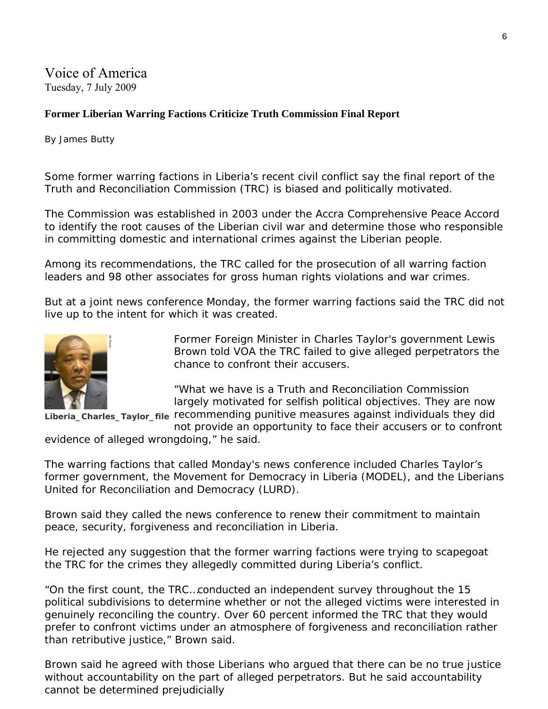Voice of America Tuesday, 7 July 2009

### **Former Liberian Warring Factions Criticize Truth Commission Final Report**

By James Butty

Some former warring factions in Liberia's recent civil conflict say the final report of the Truth and Reconciliation Commission (TRC) is biased and politically motivated.

The Commission was established in 2003 under the Accra Comprehensive Peace Accord to identify the root causes of the Liberian civil war and determine those who responsible in committing domestic and international crimes against the Liberian people.

Among its recommendations, the TRC called for the prosecution of all warring faction leaders and 98 other associates for gross human rights violations and war crimes.

But at a joint news conference Monday, the former warring factions said the TRC did not live up to the intent for which it was created.



Former Foreign Minister in Charles Taylor's government Lewis Brown told VOA the TRC failed to give alleged perpetrators the chance to confront their accusers.

"What we have is a Truth and Reconciliation Commission largely motivated for selfish political objectives. They are now

Liberia\_Charles\_Taylor\_file recommending punitive measures against individuals they did not provide an opportunity to face their accusers or to confront

evidence of alleged wrongdoing," he said.

The warring factions that called Monday's news conference included Charles Taylor's former government, the Movement for Democracy in Liberia (MODEL), and the Liberians United for Reconciliation and Democracy (LURD).

Brown said they called the news conference to renew their commitment to maintain peace, security, forgiveness and reconciliation in Liberia.

He rejected any suggestion that the former warring factions were trying to scapegoat the TRC for the crimes they allegedly committed during Liberia's conflict.

"On the first count, the TRC…conducted an independent survey throughout the 15 political subdivisions to determine whether or not the alleged victims were interested in genuinely reconciling the country. Over 60 percent informed the TRC that they would prefer to confront victims under an atmosphere of forgiveness and reconciliation rather than retributive justice," Brown said.

Brown said he agreed with those Liberians who argued that there can be no true justice without accountability on the part of alleged perpetrators. But he said accountability cannot be determined prejudicially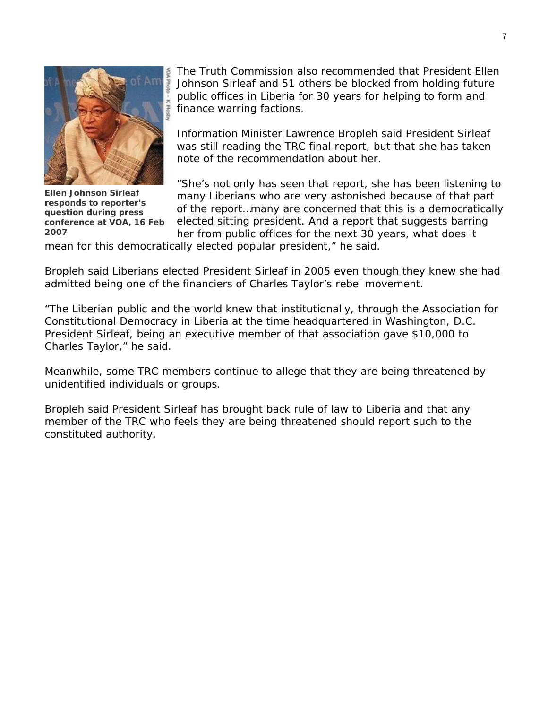

**Ellen Johnson Sirleaf responds to reporter's question during press conference at VOA, 16 Feb 2007** 

The Truth Commission also recommended that President Ellen Johnson Sirleaf and 51 others be blocked from holding future public offices in Liberia for 30 years for helping to form and finance warring factions.

Information Minister Lawrence Bropleh said President Sirleaf was still reading the TRC final report, but that she has taken note of the recommendation about her.

"She's not only has seen that report, she has been listening to many Liberians who are very astonished because of that part of the report…many are concerned that this is a democratically elected sitting president. And a report that suggests barring her from public offices for the next 30 years, what does it

mean for this democratically elected popular president," he said.

Bropleh said Liberians elected President Sirleaf in 2005 even though they knew she had admitted being one of the financiers of Charles Taylor's rebel movement.

"The Liberian public and the world knew that institutionally, through the Association for Constitutional Democracy in Liberia at the time headquartered in Washington, D.C. President Sirleaf, being an executive member of that association gave \$10,000 to Charles Taylor," he said.

Meanwhile, some TRC members continue to allege that they are being threatened by unidentified individuals or groups.

Bropleh said President Sirleaf has brought back rule of law to Liberia and that any member of the TRC who feels they are being threatened should report such to the constituted authority.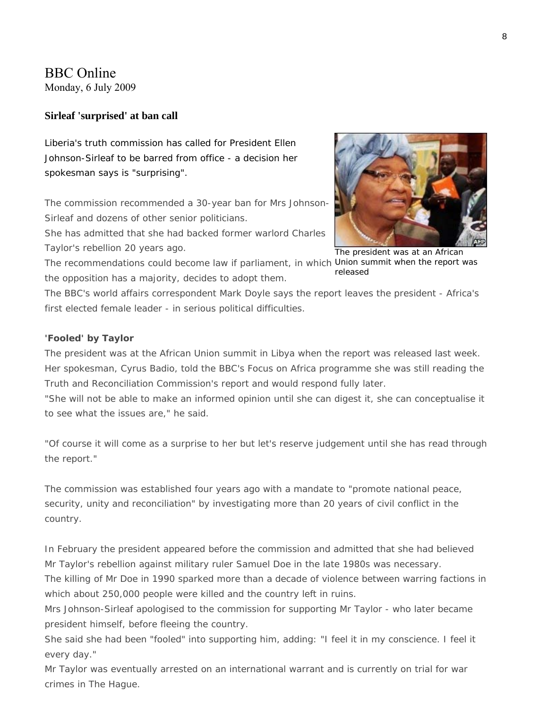# BBC Online

Monday, 6 July 2009

#### **Sirleaf 'surprised' at ban call**

Liberia's truth commission has called for President Ellen Johnson-Sirleaf to be barred from office - a decision her spokesman says is "surprising".

The commission recommended a 30-year ban for Mrs Johnson-Sirleaf and dozens of other senior politicians.

She has admitted that she had backed former warlord Charles Taylor's rebellion 20 years ago.



The president was at an African released

The recommendations could become law if parliament, in which Union summit when the report was the opposition has a majority, decides to adopt them.

The BBC's world affairs correspondent Mark Doyle says the report leaves the president - Africa's first elected female leader - in serious political difficulties.

#### **'Fooled' by Taylor**

The president was at the African Union summit in Libya when the report was released last week. Her spokesman, Cyrus Badio, told the BBC's Focus on Africa programme she was still reading the Truth and Reconciliation Commission's report and would respond fully later.

"She will not be able to make an informed opinion until she can digest it, she can conceptualise it to see what the issues are," he said.

"Of course it will come as a surprise to her but let's reserve judgement until she has read through the report."

The commission was established four years ago with a mandate to "promote national peace, security, unity and reconciliation" by investigating more than 20 years of civil conflict in the country.

In February the president appeared before the commission and admitted that she had believed Mr Taylor's rebellion against military ruler Samuel Doe in the late 1980s was necessary.

The killing of Mr Doe in 1990 sparked more than a decade of violence between warring factions in which about 250,000 people were killed and the country left in ruins.

Mrs Johnson-Sirleaf apologised to the commission for supporting Mr Taylor - who later became president himself, before fleeing the country.

She said she had been "fooled" into supporting him, adding: "I feel it in my conscience. I feel it every day."

Mr Taylor was eventually arrested on an international warrant and is currently on trial for war crimes in The Hague.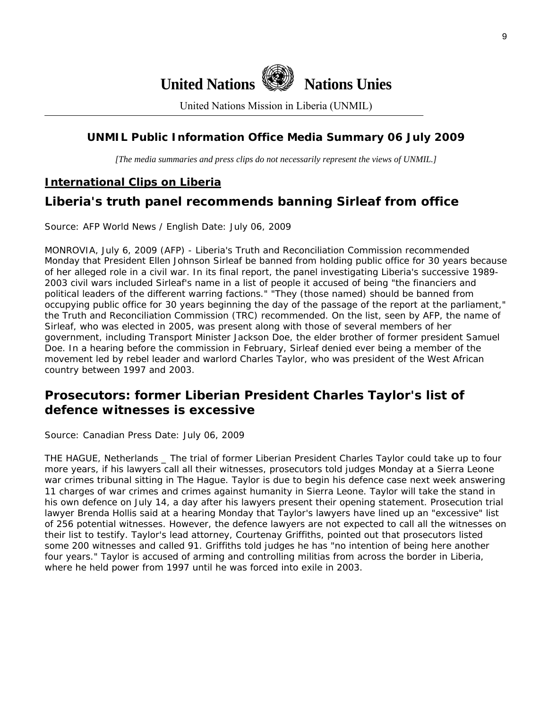

United Nations Mission in Liberia (UNMIL)

# **UNMIL Public Information Office Media Summary 06 July 2009**

*[The media summaries and press clips do not necessarily represent the views of UNMIL.]* 

# **International Clips on Liberia**

# **Liberia's truth panel recommends banning Sirleaf from office**

Source: AFP World News / English Date: July 06, 2009

MONROVIA, July 6, 2009 (AFP) - Liberia's Truth and Reconciliation Commission recommended Monday that President Ellen Johnson Sirleaf be banned from holding public office for 30 years because of her alleged role in a civil war. In its final report, the panel investigating Liberia's successive 1989- 2003 civil wars included Sirleaf's name in a list of people it accused of being "the financiers and political leaders of the different warring factions." "They (those named) should be banned from occupying public office for 30 years beginning the day of the passage of the report at the parliament," the Truth and Reconciliation Commission (TRC) recommended. On the list, seen by AFP, the name of Sirleaf, who was elected in 2005, was present along with those of several members of her government, including Transport Minister Jackson Doe, the elder brother of former president Samuel Doe. In a hearing before the commission in February, Sirleaf denied ever being a member of the movement led by rebel leader and warlord Charles Taylor, who was president of the West African country between 1997 and 2003.

# **Prosecutors: former Liberian President Charles Taylor's list of defence witnesses is excessive**

Source: Canadian Press Date: July 06, 2009

THE HAGUE, Netherlands \_ The trial of former Liberian President Charles Taylor could take up to four more years, if his lawyers call all their witnesses, prosecutors told judges Monday at a Sierra Leone war crimes tribunal sitting in The Hague. Taylor is due to begin his defence case next week answering 11 charges of war crimes and crimes against humanity in Sierra Leone. Taylor will take the stand in his own defence on July 14, a day after his lawyers present their opening statement. Prosecution trial lawyer Brenda Hollis said at a hearing Monday that Taylor's lawyers have lined up an "excessive" list of 256 potential witnesses. However, the defence lawyers are not expected to call all the witnesses on their list to testify. Taylor's lead attorney, Courtenay Griffiths, pointed out that prosecutors listed some 200 witnesses and called 91. Griffiths told judges he has "no intention of being here another four years." Taylor is accused of arming and controlling militias from across the border in Liberia, where he held power from 1997 until he was forced into exile in 2003.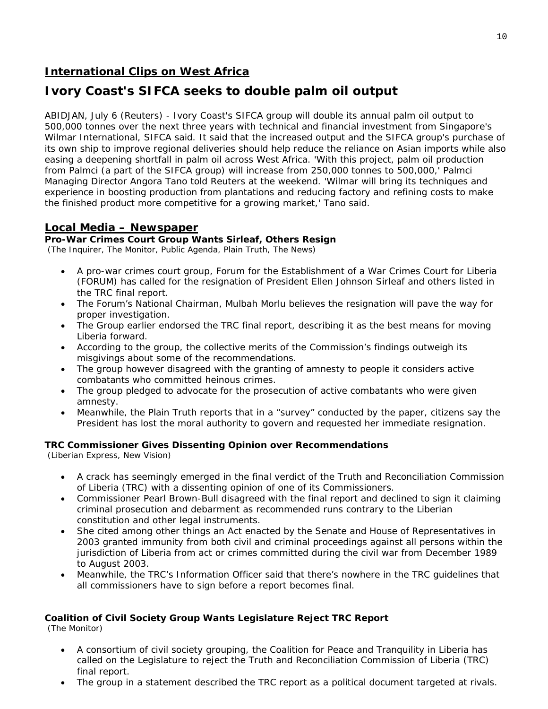# **International Clips on West Africa**

# **Ivory Coast's SIFCA seeks to double palm oil output**

ABIDJAN, July 6 (Reuters) - Ivory Coast's SIFCA group will double its annual palm oil output to 500,000 tonnes over the next three years with technical and financial investment from Singapore's Wilmar International, SIFCA said. It said that the increased output and the SIFCA group's purchase of its own ship to improve regional deliveries should help reduce the reliance on Asian imports while also easing a deepening shortfall in palm oil across West Africa. 'With this project, palm oil production from Palmci (a part of the SIFCA group) will increase from 250,000 tonnes to 500,000,' Palmci Managing Director Angora Tano told Reuters at the weekend. 'Wilmar will bring its techniques and experience in boosting production from plantations and reducing factory and refining costs to make the finished product more competitive for a growing market,' Tano said.

# **Local Media – Newspaper**

#### **Pro-War Crimes Court Group Wants Sirleaf, Others Resign**

(The Inquirer, The Monitor, Public Agenda, Plain Truth, The News)

- A pro-war crimes court group, Forum for the Establishment of a War Crimes Court for Liberia (FORUM) has called for the resignation of President Ellen Johnson Sirleaf and others listed in the TRC final report.
- The Forum's National Chairman, Mulbah Morlu believes the resignation will pave the way for proper investigation.
- The Group earlier endorsed the TRC final report, describing it as the best means for moving Liberia forward.
- According to the group, the collective merits of the Commission's findings outweigh its misgivings about some of the recommendations.
- The group however disagreed with the granting of amnesty to people it considers active combatants who committed heinous crimes.
- The group pledged to advocate for the prosecution of active combatants who were given amnesty.
- Meanwhile, the Plain Truth reports that in a "survey" conducted by the paper, citizens say the President has lost the moral authority to govern and requested her immediate resignation.

### **TRC Commissioner Gives Dissenting Opinion over Recommendations**

(Liberian Express, New Vision)

- A crack has seemingly emerged in the final verdict of the Truth and Reconciliation Commission of Liberia (TRC) with a dissenting opinion of one of its Commissioners.
- Commissioner Pearl Brown-Bull disagreed with the final report and declined to sign it claiming criminal prosecution and debarment as recommended runs contrary to the Liberian constitution and other legal instruments.
- She cited among other things an Act enacted by the Senate and House of Representatives in 2003 granted immunity from both civil and criminal proceedings against all persons within the jurisdiction of Liberia from act or crimes committed during the civil war from December 1989 to August 2003.
- Meanwhile, the TRC's Information Officer said that there's nowhere in the TRC guidelines that all commissioners have to sign before a report becomes final.

### **Coalition of Civil Society Group Wants Legislature Reject TRC Report**

(The Monitor)

- A consortium of civil society grouping, the Coalition for Peace and Tranquility in Liberia has called on the Legislature to reject the Truth and Reconciliation Commission of Liberia (TRC) final report.
- The group in a statement described the TRC report as a political document targeted at rivals.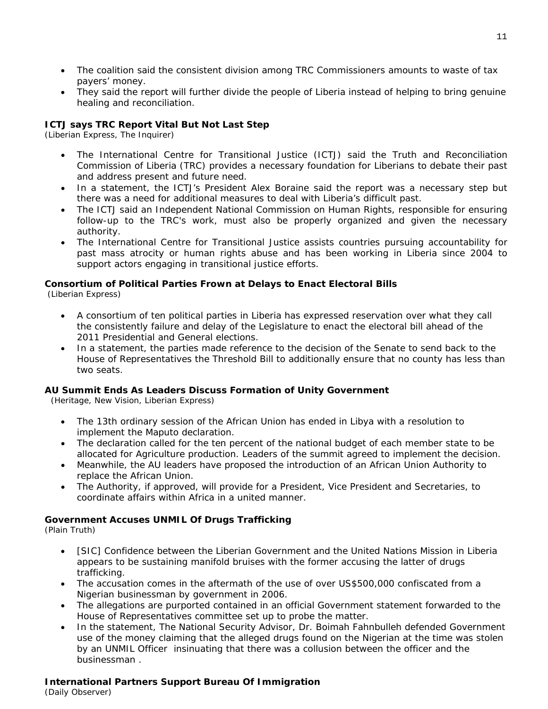- The coalition said the consistent division among TRC Commissioners amounts to waste of tax payers' money.
- They said the report will further divide the people of Liberia instead of helping to bring genuine healing and reconciliation.

#### **ICTJ says TRC Report Vital But Not Last Step**

(Liberian Express, The Inquirer)

- The International Centre for Transitional Justice (ICTJ) said the Truth and Reconciliation Commission of Liberia (TRC) provides a necessary foundation for Liberians to debate their past and address present and future need.
- In a statement, the ICTJ's President Alex Boraine said the report was a necessary step but there was a need for additional measures to deal with Liberia's difficult past.
- The ICTJ said an Independent National Commission on Human Rights, responsible for ensuring follow-up to the TRC's work, must also be properly organized and given the necessary authority.
- The International Centre for Transitional Justice assists countries pursuing accountability for past mass atrocity or human rights abuse and has been working in Liberia since 2004 to support actors engaging in transitional justice efforts.

# **Consortium of Political Parties Frown at Delays to Enact Electoral Bills**

(Liberian Express)

- A consortium of ten political parties in Liberia has expressed reservation over what they call the consistently failure and delay of the Legislature to enact the electoral bill ahead of the 2011 Presidential and General elections.
- In a statement, the parties made reference to the decision of the Senate to send back to the House of Representatives the Threshold Bill to additionally ensure that no county has less than two seats.

#### **AU Summit Ends As Leaders Discuss Formation of Unity Government**

(Heritage, New Vision, Liberian Express)

- The 13th ordinary session of the African Union has ended in Libya with a resolution to implement the Maputo declaration.
- The declaration called for the ten percent of the national budget of each member state to be allocated for Agriculture production. Leaders of the summit agreed to implement the decision.
- Meanwhile, the AU leaders have proposed the introduction of an African Union Authority to replace the African Union.
- The Authority, if approved, will provide for a President, Vice President and Secretaries, to coordinate affairs within Africa in a united manner.

#### **Government Accuses UNMIL Of Drugs Trafficking**

(Plain Truth)

- [SIC] Confidence between the Liberian Government and the United Nations Mission in Liberia appears to be sustaining manifold bruises with the former accusing the latter of drugs trafficking.
- The accusation comes in the aftermath of the use of over US\$500,000 confiscated from a Nigerian businessman by government in 2006.
- The allegations are purported contained in an official Government statement forwarded to the House of Representatives committee set up to probe the matter.
- In the statement, The National Security Advisor, Dr. Boimah Fahnbulleh defended Government use of the money claiming that the alleged drugs found on the Nigerian at the time was stolen by an UNMIL Officer insinuating that there was a collusion between the officer and the businessman .

#### **International Partners Support Bureau Of Immigration**

(Daily Observer)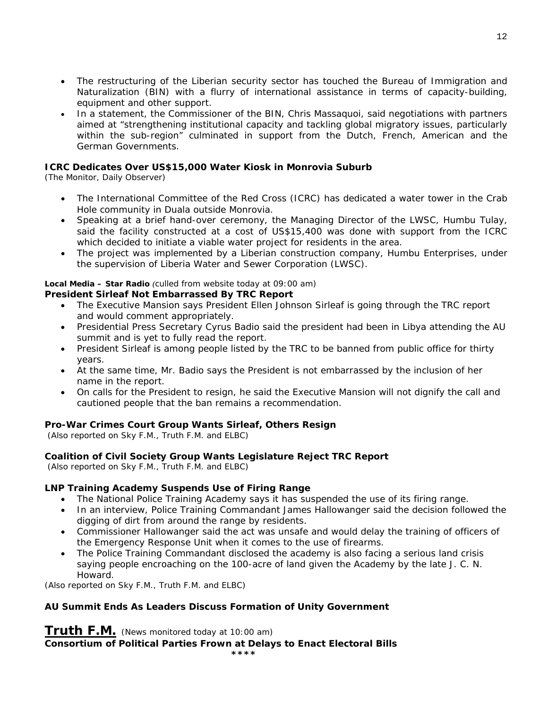- The restructuring of the Liberian security sector has touched the Bureau of Immigration and Naturalization (BIN) with a flurry of international assistance in terms of capacity-building, equipment and other support.
- In a statement, the Commissioner of the BIN, Chris Massaquoi, said negotiations with partners aimed at "strengthening institutional capacity and tackling global migratory issues, particularly within the sub-region" culminated in support from the Dutch, French, American and the German Governments.

#### **ICRC Dedicates Over US\$15,000 Water Kiosk in Monrovia Suburb**

(The Monitor, Daily Observer)

- The International Committee of the Red Cross (ICRC) has dedicated a water tower in the Crab Hole community in Duala outside Monrovia.
- Speaking at a brief hand-over ceremony, the Managing Director of the LWSC, Humbu Tulay, said the facility constructed at a cost of US\$15,400 was done with support from the ICRC which decided to initiate a viable water project for residents in the area.
- The project was implemented by a Liberian construction company, Humbu Enterprises, under the supervision of Liberia Water and Sewer Corporation (LWSC).

#### **Local Media – Star Radio** *(culled from website today at 09:00 am)*

#### **President Sirleaf Not Embarrassed By TRC Report**

- The Executive Mansion says President Ellen Johnson Sirleaf is going through the TRC report and would comment appropriately.
- Presidential Press Secretary Cyrus Badio said the president had been in Libya attending the AU summit and is yet to fully read the report.
- President Sirleaf is among people listed by the TRC to be banned from public office for thirty years.
- At the same time, Mr. Badio says the President is not embarrassed by the inclusion of her name in the report.
- On calls for the President to resign, he said the Executive Mansion will not dignify the call and cautioned people that the ban remains a recommendation.

#### **Pro-War Crimes Court Group Wants Sirleaf, Others Resign**

 *(Also reported on Sky F.M., Truth F.M. and ELBC)*

#### **Coalition of Civil Society Group Wants Legislature Reject TRC Report**

 *(Also reported on Sky F.M., Truth F.M. and ELBC)*

#### **LNP Training Academy Suspends Use of Firing Range**

- The National Police Training Academy says it has suspended the use of its firing range.
- In an interview, Police Training Commandant James Hallowanger said the decision followed the digging of dirt from around the range by residents.
- Commissioner Hallowanger said the act was unsafe and would delay the training of officers of the Emergency Response Unit when it comes to the use of firearms.
- The Police Training Commandant disclosed the academy is also facing a serious land crisis saying people encroaching on the 100-acre of land given the Academy by the late J. C. N. Howard.

*(Also reported on Sky F.M., Truth F.M. and ELBC)*

#### **AU Summit Ends As Leaders Discuss Formation of Unity Government**

**Truth F.M.** *(News monitored today at 10:00 am)*  **Consortium of Political Parties Frown at Delays to Enact Electoral Bills \*\*\*\***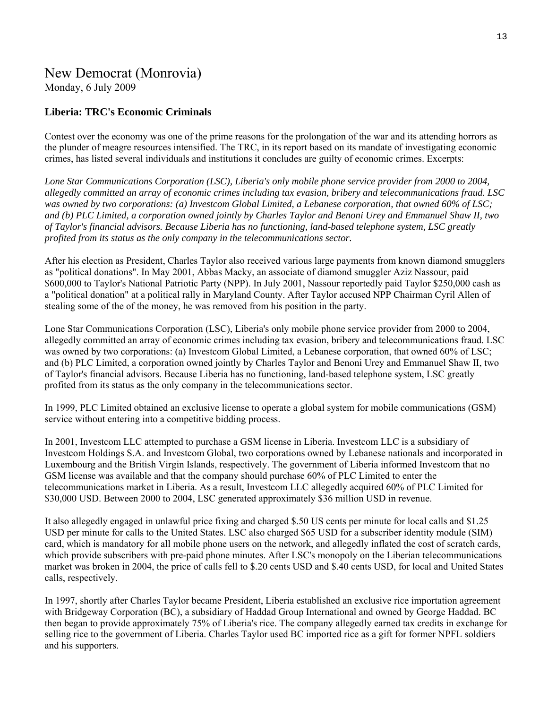# New Democrat (Monrovia)

Monday, 6 July 2009

### **Liberia: TRC's Economic Criminals**

Contest over the economy was one of the prime reasons for the prolongation of the war and its attending horrors as the plunder of meagre resources intensified. The TRC, in its report based on its mandate of investigating economic crimes, has listed several individuals and institutions it concludes are guilty of economic crimes. Excerpts:

*Lone Star Communications Corporation (LSC), Liberia's only mobile phone service provider from 2000 to 2004, allegedly committed an array of economic crimes including tax evasion, bribery and telecommunications fraud. LSC was owned by two corporations: (a) Investcom Global Limited, a Lebanese corporation, that owned 60% of LSC; and (b) PLC Limited, a corporation owned jointly by Charles Taylor and Benoni Urey and Emmanuel Shaw II, two of Taylor's financial advisors. Because Liberia has no functioning, land-based telephone system, LSC greatly profited from its status as the only company in the telecommunications sector.* 

After his election as President, Charles Taylor also received various large payments from known diamond smugglers as "political donations". In May 2001, Abbas Macky, an associate of diamond smuggler Aziz Nassour, paid \$600,000 to Taylor's National Patriotic Party (NPP). In July 2001, Nassour reportedly paid Taylor \$250,000 cash as a "political donation" at a political rally in Maryland County. After Taylor accused NPP Chairman Cyril Allen of stealing some of the of the money, he was removed from his position in the party.

Lone Star Communications Corporation (LSC), Liberia's only mobile phone service provider from 2000 to 2004, allegedly committed an array of economic crimes including tax evasion, bribery and telecommunications fraud. LSC was owned by two corporations: (a) Investcom Global Limited, a Lebanese corporation, that owned 60% of LSC; and (b) PLC Limited, a corporation owned jointly by Charles Taylor and Benoni Urey and Emmanuel Shaw II, two of Taylor's financial advisors. Because Liberia has no functioning, land-based telephone system, LSC greatly profited from its status as the only company in the telecommunications sector.

In 1999, PLC Limited obtained an exclusive license to operate a global system for mobile communications (GSM) service without entering into a competitive bidding process.

In 2001, Investcom LLC attempted to purchase a GSM license in Liberia. Investcom LLC is a subsidiary of Investcom Holdings S.A. and Investcom Global, two corporations owned by Lebanese nationals and incorporated in Luxembourg and the British Virgin Islands, respectively. The government of Liberia informed Investcom that no GSM license was available and that the company should purchase 60% of PLC Limited to enter the telecommunications market in Liberia. As a result, Investcom LLC allegedly acquired 60% of PLC Limited for \$30,000 USD. Between 2000 to 2004, LSC generated approximately \$36 million USD in revenue.

It also allegedly engaged in unlawful price fixing and charged \$.50 US cents per minute for local calls and \$1.25 USD per minute for calls to the United States. LSC also charged \$65 USD for a subscriber identity module (SIM) card, which is mandatory for all mobile phone users on the network, and allegedly inflated the cost of scratch cards, which provide subscribers with pre-paid phone minutes. After LSC's monopoly on the Liberian telecommunications market was broken in 2004, the price of calls fell to \$.20 cents USD and \$.40 cents USD, for local and United States calls, respectively.

In 1997, shortly after Charles Taylor became President, Liberia established an exclusive rice importation agreement with Bridgeway Corporation (BC), a subsidiary of Haddad Group International and owned by George Haddad. BC then began to provide approximately 75% of Liberia's rice. The company allegedly earned tax credits in exchange for selling rice to the government of Liberia. Charles Taylor used BC imported rice as a gift for former NPFL soldiers and his supporters.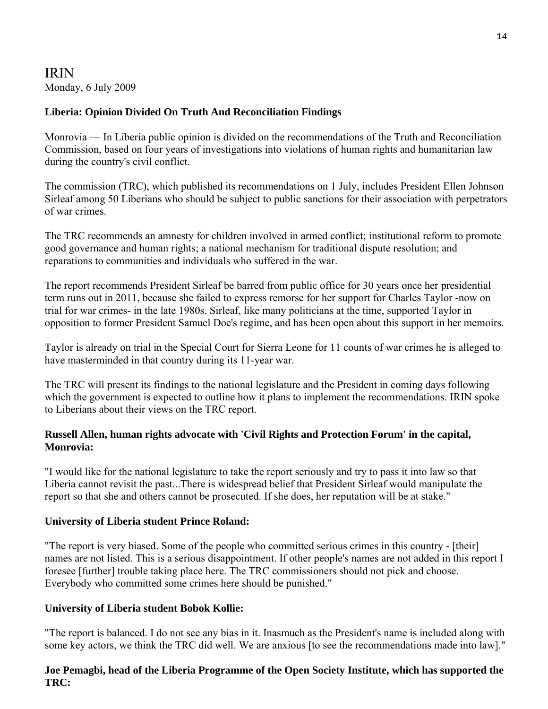# IRIN Monday, 6 July 2009

# **Liberia: Opinion Divided On Truth And Reconciliation Findings**

Monrovia — In Liberia public opinion is divided on the recommendations of the Truth and Reconciliation Commission, based on four years of investigations into violations of human rights and humanitarian law during the country's civil conflict.

The commission (TRC), which published its recommendations on 1 July, includes President Ellen Johnson Sirleaf among 50 Liberians who should be subject to public sanctions for their association with perpetrators of war crimes.

The TRC recommends an amnesty for children involved in armed conflict; institutional reform to promote good governance and human rights; a national mechanism for traditional dispute resolution; and reparations to communities and individuals who suffered in the war.

The report recommends President Sirleaf be barred from public office for 30 years once her presidential term runs out in 2011, because she failed to express remorse for her support for Charles Taylor -now on trial for war crimes- in the late 1980s. Sirleaf, like many politicians at the time, supported Taylor in opposition to former President Samuel Doe's regime, and has been open about this support in her memoirs.

Taylor is already on trial in the Special Court for Sierra Leone for 11 counts of war crimes he is alleged to have masterminded in that country during its 11-year war.

The TRC will present its findings to the national legislature and the President in coming days following which the government is expected to outline how it plans to implement the recommendations. IRIN spoke to Liberians about their views on the TRC report.

### **Russell Allen, human rights advocate with 'Civil Rights and Protection Forum' in the capital, Monrovia:**

"I would like for the national legislature to take the report seriously and try to pass it into law so that Liberia cannot revisit the past...There is widespread belief that President Sirleaf would manipulate the report so that she and others cannot be prosecuted. If she does, her reputation will be at stake."

### **University of Liberia student Prince Roland:**

"The report is very biased. Some of the people who committed serious crimes in this country - [their] names are not listed. This is a serious disappointment. If other people's names are not added in this report I foresee [further] trouble taking place here. The TRC commissioners should not pick and choose. Everybody who committed some crimes here should be punished."

### **University of Liberia student Bobok Kollie:**

"The report is balanced. I do not see any bias in it. Inasmuch as the President's name is included along with some key actors, we think the TRC did well. We are anxious [to see the recommendations made into law]."

### **Joe Pemagbi, head of the Liberia Programme of the Open Society Institute, which has supported the TRC:**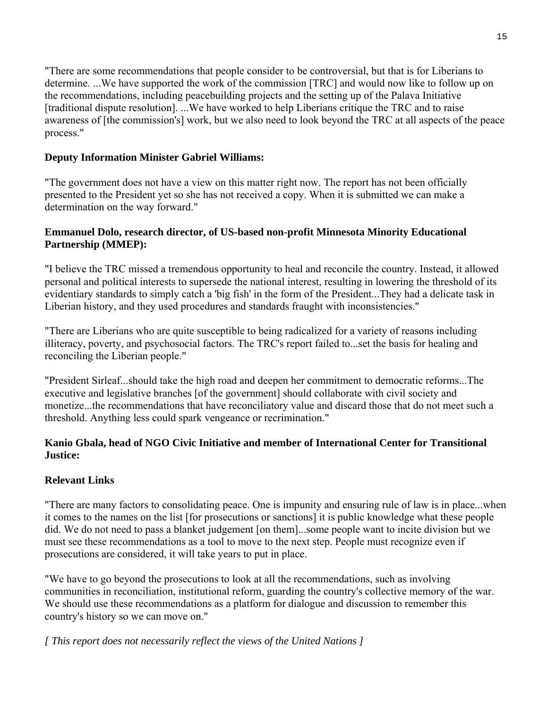"There are some recommendations that people consider to be controversial, but that is for Liberians to determine. ...We have supported the work of the commission [TRC] and would now like to follow up on the recommendations, including peacebuilding projects and the setting up of the Palava Initiative [traditional dispute resolution]. ...We have worked to help Liberians critique the TRC and to raise awareness of [the commission's] work, but we also need to look beyond the TRC at all aspects of the peace process."

# **Deputy Information Minister Gabriel Williams:**

"The government does not have a view on this matter right now. The report has not been officially presented to the President yet so she has not received a copy. When it is submitted we can make a determination on the way forward."

### **Emmanuel Dolo, research director, of US-based non-profit Minnesota Minority Educational Partnership (MMEP):**

"I believe the TRC missed a tremendous opportunity to heal and reconcile the country. Instead, it allowed personal and political interests to supersede the national interest, resulting in lowering the threshold of its evidentiary standards to simply catch a 'big fish' in the form of the President...They had a delicate task in Liberian history, and they used procedures and standards fraught with inconsistencies."

"There are Liberians who are quite susceptible to being radicalized for a variety of reasons including illiteracy, poverty, and psychosocial factors. The TRC's report failed to...set the basis for healing and reconciling the Liberian people."

"President Sirleaf...should take the high road and deepen her commitment to democratic reforms...The executive and legislative branches [of the government] should collaborate with civil society and monetize...the recommendations that have reconciliatory value and discard those that do not meet such a threshold. Anything less could spark vengeance or recrimination."

### **Kanio Gbala, head of NGO Civic Initiative and member of International Center for Transitional Justice:**

# **Relevant Links**

"There are many factors to consolidating peace. One is impunity and ensuring rule of law is in place...when it comes to the names on the list [for prosecutions or sanctions] it is public knowledge what these people did. We do not need to pass a blanket judgement [on them]...some people want to incite division but we must see these recommendations as a tool to move to the next step. People must recognize even if prosecutions are considered, it will take years to put in place.

"We have to go beyond the prosecutions to look at all the recommendations, such as involving communities in reconciliation, institutional reform, guarding the country's collective memory of the war. We should use these recommendations as a platform for dialogue and discussion to remember this country's history so we can move on."

*[ This report does not necessarily reflect the views of the United Nations ]*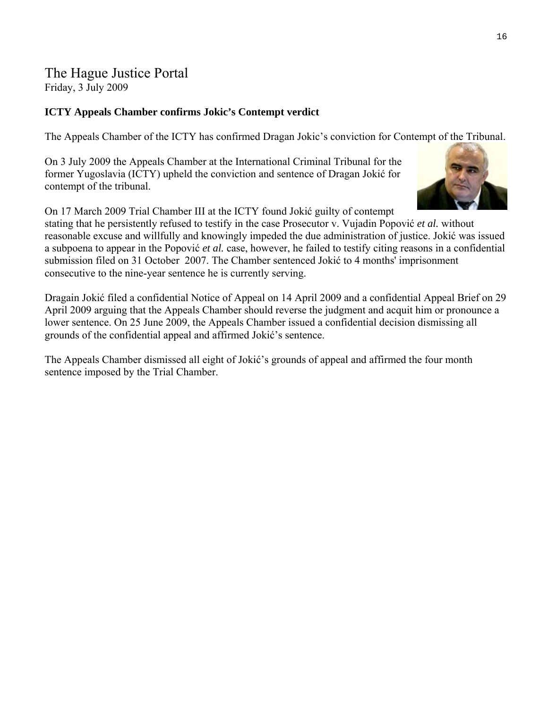# The Hague Justice Portal Friday, 3 July 2009

## **ICTY Appeals Chamber confirms Jokic's Contempt verdict**

The Appeals Chamber of the ICTY has confirmed Dragan Jokic's conviction for Contempt of the Tribunal.

On 3 July 2009 the Appeals Chamber at the International Criminal Tribunal for the former Yugoslavia (ICTY) upheld the conviction and sentence of [Dragan Joki](http://www.haguejusticeportal.net/eCache/DEF/6/011.html)ć for contempt of the tribunal.



On 17 March 2009 Trial Chamber III at the ICTY found Jokić guilty of contempt

stating that he persistently refused to testify in the case Prosecutor v. Vujadin Popović *et al.* without reasonable excuse and willfully and knowingly impeded the due administration of justice. Jokić was issued a subpoena to appear in the Popović *et al.* case, however, he failed to testify citing reasons in a confidential submission filed on 31 October 2007. The Chamber sentenced Jokić to 4 months' imprisonment consecutive to the nine-year sentence he is currently serving.

Dragain Jokić filed a confidential Notice of Appeal on 14 April 2009 and a confidential Appeal Brief on 29 April 2009 arguing that the Appeals Chamber should reverse the judgment and acquit him or pronounce a lower sentence. On 25 June 2009, the Appeals Chamber issued a confidential decision dismissing all grounds of the confidential appeal and affirmed Jokić's sentence.

The Appeals Chamber dismissed all eight of Jokić's grounds of appeal and affirmed the four month sentence imposed by the Trial Chamber.